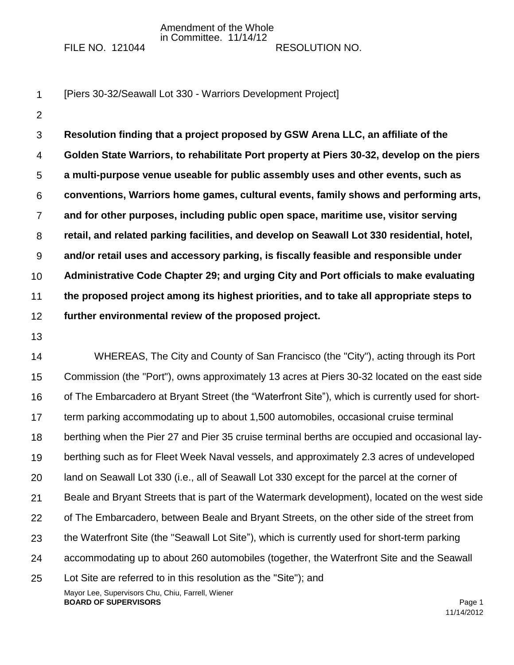Amendment of the Whole in Committee. 11/14/12

FILE NO. 121044 RESOLUTION NO.

- 1 [Piers 30-32/Seawall Lot 330 - Warriors Development Project]
- 2

3 4 5 6 7 8 9 10 11 12 **Resolution finding that a project proposed by GSW Arena LLC, an affiliate of the Golden State Warriors, to rehabilitate Port property at Piers 30-32, develop on the piers a multi-purpose venue useable for public assembly uses and other events, such as conventions, Warriors home games, cultural events, family shows and performing arts, and for other purposes, including public open space, maritime use, visitor serving retail, and related parking facilities, and develop on Seawall Lot 330 residential, hotel, and/or retail uses and accessory parking, is fiscally feasible and responsible under Administrative Code Chapter 29; and urging City and Port officials to make evaluating the proposed project among its highest priorities, and to take all appropriate steps to further environmental review of the proposed project.**

13

Mayor Lee, Supervisors Chu, Chiu, Farrell, Wiener 14 15 16 17 18 19 20 21 22 23 24 25 WHEREAS, The City and County of San Francisco (the "City"), acting through its Port Commission (the "Port"), owns approximately 13 acres at Piers 30-32 located on the east side of The Embarcadero at Bryant Street (the "Waterfront Site"), which is currently used for shortterm parking accommodating up to about 1,500 automobiles, occasional cruise terminal berthing when the Pier 27 and Pier 35 cruise terminal berths are occupied and occasional layberthing such as for Fleet Week Naval vessels, and approximately 2.3 acres of undeveloped land on Seawall Lot 330 (i.e., all of Seawall Lot 330 except for the parcel at the corner of Beale and Bryant Streets that is part of the Watermark development), located on the west side of The Embarcadero, between Beale and Bryant Streets, on the other side of the street from the Waterfront Site (the "Seawall Lot Site"), which is currently used for short-term parking accommodating up to about 260 automobiles (together, the Waterfront Site and the Seawall Lot Site are referred to in this resolution as the "Site"); and

**BOARD OF SUPERVISORS Page 1**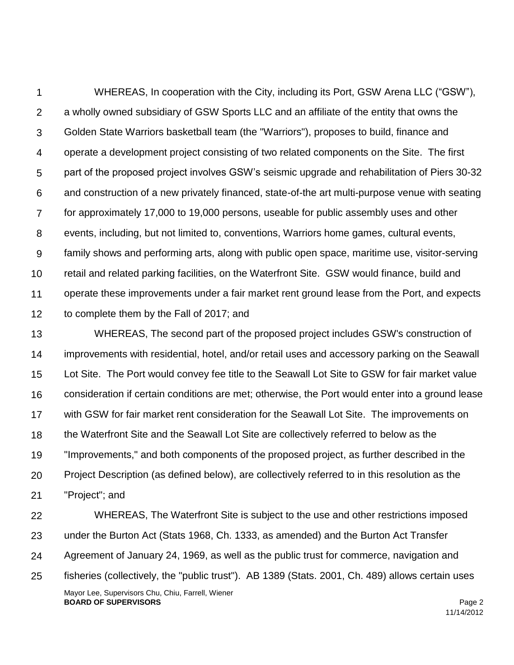1  $\mathcal{P}$ 3 4 5 6 7 8 9 10 11 12 WHEREAS, In cooperation with the City, including its Port, GSW Arena LLC ("GSW"), a wholly owned subsidiary of GSW Sports LLC and an affiliate of the entity that owns the Golden State Warriors basketball team (the "Warriors"), proposes to build, finance and operate a development project consisting of two related components on the Site. The first part of the proposed project involves GSW's seismic upgrade and rehabilitation of Piers 30-32 and construction of a new privately financed, state-of-the art multi-purpose venue with seating for approximately 17,000 to 19,000 persons, useable for public assembly uses and other events, including, but not limited to, conventions, Warriors home games, cultural events, family shows and performing arts, along with public open space, maritime use, visitor-serving retail and related parking facilities, on the Waterfront Site. GSW would finance, build and operate these improvements under a fair market rent ground lease from the Port, and expects to complete them by the Fall of 2017; and

13 14 15 16 17 18 19 20 21 WHEREAS, The second part of the proposed project includes GSW's construction of improvements with residential, hotel, and/or retail uses and accessory parking on the Seawall Lot Site. The Port would convey fee title to the Seawall Lot Site to GSW for fair market value consideration if certain conditions are met; otherwise, the Port would enter into a ground lease with GSW for fair market rent consideration for the Seawall Lot Site. The improvements on the Waterfront Site and the Seawall Lot Site are collectively referred to below as the "Improvements," and both components of the proposed project, as further described in the Project Description (as defined below), are collectively referred to in this resolution as the "Project"; and

Mayor Lee, Supervisors Chu, Chiu, Farrell, Wiener **BOARD OF SUPERVISORS** Page 2 22 23 24 25 WHEREAS, The Waterfront Site is subject to the use and other restrictions imposed under the Burton Act (Stats 1968, Ch. 1333, as amended) and the Burton Act Transfer Agreement of January 24, 1969, as well as the public trust for commerce, navigation and fisheries (collectively, the "public trust"). AB 1389 (Stats. 2001, Ch. 489) allows certain uses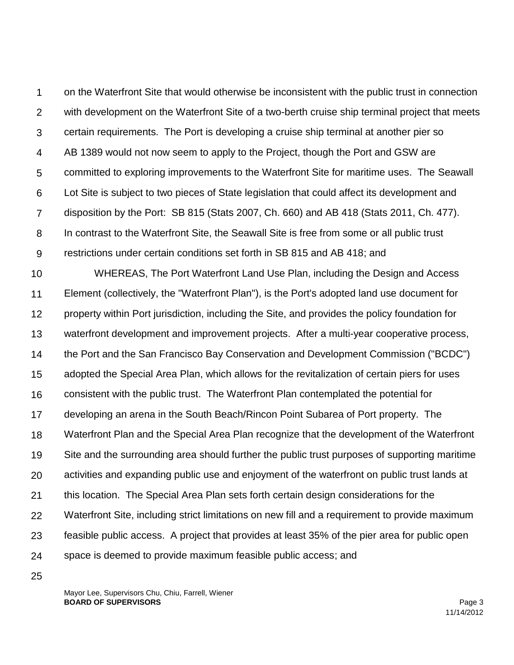1  $\mathcal{P}$ 3 4 5 6 7 8 9 on the Waterfront Site that would otherwise be inconsistent with the public trust in connection with development on the Waterfront Site of a two-berth cruise ship terminal project that meets certain requirements. The Port is developing a cruise ship terminal at another pier so AB 1389 would not now seem to apply to the Project, though the Port and GSW are committed to exploring improvements to the Waterfront Site for maritime uses. The Seawall Lot Site is subject to two pieces of State legislation that could affect its development and disposition by the Port: SB 815 (Stats 2007, Ch. 660) and AB 418 (Stats 2011, Ch. 477). In contrast to the Waterfront Site, the Seawall Site is free from some or all public trust restrictions under certain conditions set forth in SB 815 and AB 418; and

10 11 12 13 14 15 16 17 18 19 20 21 22 23 24 WHEREAS, The Port Waterfront Land Use Plan, including the Design and Access Element (collectively, the "Waterfront Plan"), is the Port's adopted land use document for property within Port jurisdiction, including the Site, and provides the policy foundation for waterfront development and improvement projects. After a multi-year cooperative process, the Port and the San Francisco Bay Conservation and Development Commission ("BCDC") adopted the Special Area Plan, which allows for the revitalization of certain piers for uses consistent with the public trust. The Waterfront Plan contemplated the potential for developing an arena in the South Beach/Rincon Point Subarea of Port property. The Waterfront Plan and the Special Area Plan recognize that the development of the Waterfront Site and the surrounding area should further the public trust purposes of supporting maritime activities and expanding public use and enjoyment of the waterfront on public trust lands at this location. The Special Area Plan sets forth certain design considerations for the Waterfront Site, including strict limitations on new fill and a requirement to provide maximum feasible public access. A project that provides at least 35% of the pier area for public open space is deemed to provide maximum feasible public access; and

25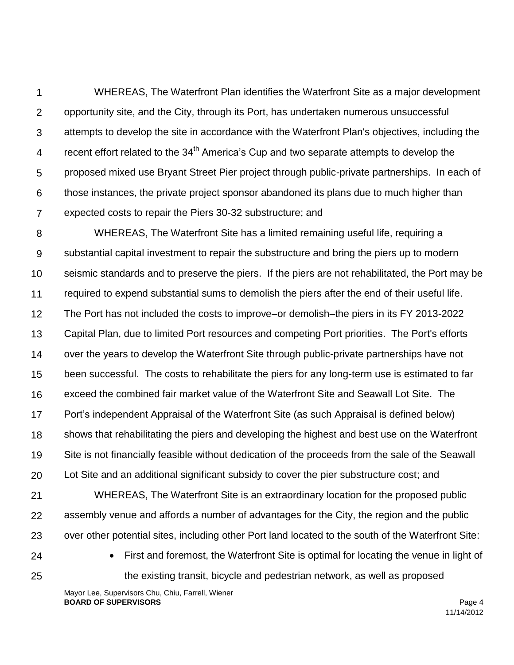1  $\mathcal{P}$ 3 4 5 6 7 WHEREAS, The Waterfront Plan identifies the Waterfront Site as a major development opportunity site, and the City, through its Port, has undertaken numerous unsuccessful attempts to develop the site in accordance with the Waterfront Plan's objectives, including the recent effort related to the 34<sup>th</sup> America's Cup and two separate attempts to develop the proposed mixed use Bryant Street Pier project through public-private partnerships. In each of those instances, the private project sponsor abandoned its plans due to much higher than expected costs to repair the Piers 30-32 substructure; and

8 9 10 11 12 13 14 15 16 17 18 19 20 WHEREAS, The Waterfront Site has a limited remaining useful life, requiring a substantial capital investment to repair the substructure and bring the piers up to modern seismic standards and to preserve the piers. If the piers are not rehabilitated, the Port may be required to expend substantial sums to demolish the piers after the end of their useful life. The Port has not included the costs to improve–or demolish–the piers in its FY 2013-2022 Capital Plan, due to limited Port resources and competing Port priorities. The Port's efforts over the years to develop the Waterfront Site through public-private partnerships have not been successful. The costs to rehabilitate the piers for any long-term use is estimated to far exceed the combined fair market value of the Waterfront Site and Seawall Lot Site. The Port's independent Appraisal of the Waterfront Site (as such Appraisal is defined below) shows that rehabilitating the piers and developing the highest and best use on the Waterfront Site is not financially feasible without dedication of the proceeds from the sale of the Seawall Lot Site and an additional significant subsidy to cover the pier substructure cost; and

21 22 23 WHEREAS, The Waterfront Site is an extraordinary location for the proposed public assembly venue and affords a number of advantages for the City, the region and the public over other potential sites, including other Port land located to the south of the Waterfront Site:

24 25  First and foremost, the Waterfront Site is optimal for locating the venue in light of the existing transit, bicycle and pedestrian network, as well as proposed

Mayor Lee, Supervisors Chu, Chiu, Farrell, Wiener **BOARD OF SUPERVISORS** Page 4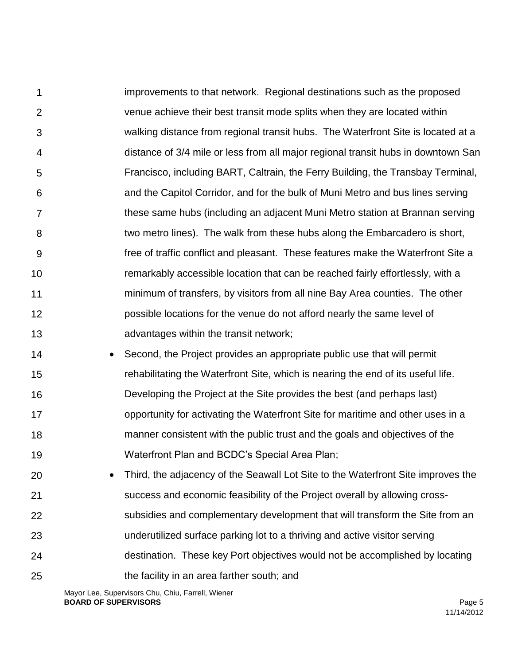1  $\mathcal{P}$ 3 4 5 6 7 8 9 10 11 12 13 improvements to that network. Regional destinations such as the proposed venue achieve their best transit mode splits when they are located within walking distance from regional transit hubs. The Waterfront Site is located at a distance of 3/4 mile or less from all major regional transit hubs in downtown San Francisco, including BART, Caltrain, the Ferry Building, the Transbay Terminal, and the Capitol Corridor, and for the bulk of Muni Metro and bus lines serving these same hubs (including an adjacent Muni Metro station at Brannan serving two metro lines). The walk from these hubs along the Embarcadero is short, free of traffic conflict and pleasant. These features make the Waterfront Site a remarkably accessible location that can be reached fairly effortlessly, with a minimum of transfers, by visitors from all nine Bay Area counties. The other possible locations for the venue do not afford nearly the same level of advantages within the transit network;

- 14 15 16 17 18 19 • Second, the Project provides an appropriate public use that will permit rehabilitating the Waterfront Site, which is nearing the end of its useful life. Developing the Project at the Site provides the best (and perhaps last) opportunity for activating the Waterfront Site for maritime and other uses in a manner consistent with the public trust and the goals and objectives of the Waterfront Plan and BCDC's Special Area Plan;
- 20 21 22 23 24 25 Third, the adjacency of the Seawall Lot Site to the Waterfront Site improves the success and economic feasibility of the Project overall by allowing crosssubsidies and complementary development that will transform the Site from an underutilized surface parking lot to a thriving and active visitor serving destination. These key Port objectives would not be accomplished by locating the facility in an area farther south; and

Mayor Lee, Supervisors Chu, Chiu, Farrell, Wiener **BOARD OF SUPERVISORS** Page 5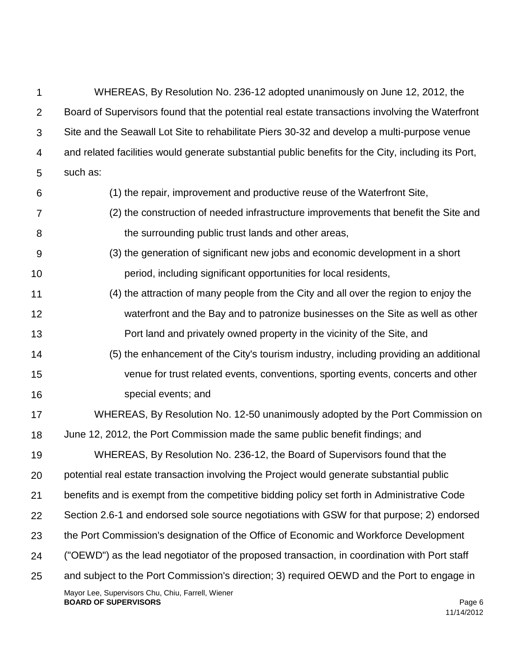| 1              | WHEREAS, By Resolution No. 236-12 adopted unanimously on June 12, 2012, the                         |
|----------------|-----------------------------------------------------------------------------------------------------|
| $\overline{2}$ | Board of Supervisors found that the potential real estate transactions involving the Waterfront     |
| 3              | Site and the Seawall Lot Site to rehabilitate Piers 30-32 and develop a multi-purpose venue         |
| 4              | and related facilities would generate substantial public benefits for the City, including its Port, |
| 5              | such as:                                                                                            |
| 6              | (1) the repair, improvement and productive reuse of the Waterfront Site,                            |
| $\overline{7}$ | (2) the construction of needed infrastructure improvements that benefit the Site and                |
| 8              | the surrounding public trust lands and other areas,                                                 |
| 9              | (3) the generation of significant new jobs and economic development in a short                      |
| 10             | period, including significant opportunities for local residents,                                    |
| 11             | (4) the attraction of many people from the City and all over the region to enjoy the                |
| 12             | waterfront and the Bay and to patronize businesses on the Site as well as other                     |
| 13             | Port land and privately owned property in the vicinity of the Site, and                             |
| 14             | (5) the enhancement of the City's tourism industry, including providing an additional               |
| 15             | venue for trust related events, conventions, sporting events, concerts and other                    |
| 16             | special events; and                                                                                 |
| 17             | WHEREAS, By Resolution No. 12-50 unanimously adopted by the Port Commission on                      |
| 18             | June 12, 2012, the Port Commission made the same public benefit findings; and                       |
| 19             | WHEREAS, By Resolution No. 236-12, the Board of Supervisors found that the                          |
| 20             | potential real estate transaction involving the Project would generate substantial public           |
| 21             | benefits and is exempt from the competitive bidding policy set forth in Administrative Code         |
| 22             | Section 2.6-1 and endorsed sole source negotiations with GSW for that purpose; 2) endorsed          |
| 23             | the Port Commission's designation of the Office of Economic and Workforce Development               |
| 24             | ("OEWD") as the lead negotiator of the proposed transaction, in coordination with Port staff        |
| 25             | and subject to the Port Commission's direction; 3) required OEWD and the Port to engage in          |
|                | Mayor Lee, Supervisors Chu, Chiu, Farrell, Wiener<br><b>BOARD OF SUPERVISORS</b><br>Page 6          |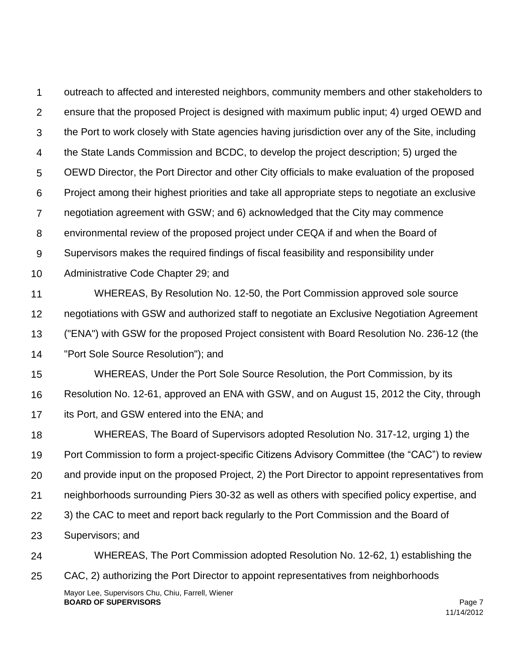1  $\mathcal{P}$ 3 4 5 6 7 8 9 10 11 12 13 14 15 16 17 18 19 20 21 22 23 24 25 outreach to affected and interested neighbors, community members and other stakeholders to ensure that the proposed Project is designed with maximum public input; 4) urged OEWD and the Port to work closely with State agencies having jurisdiction over any of the Site, including the State Lands Commission and BCDC, to develop the project description; 5) urged the OEWD Director, the Port Director and other City officials to make evaluation of the proposed Project among their highest priorities and take all appropriate steps to negotiate an exclusive negotiation agreement with GSW; and 6) acknowledged that the City may commence environmental review of the proposed project under CEQA if and when the Board of Supervisors makes the required findings of fiscal feasibility and responsibility under Administrative Code Chapter 29; and WHEREAS, By Resolution No. 12-50, the Port Commission approved sole source negotiations with GSW and authorized staff to negotiate an Exclusive Negotiation Agreement ("ENA") with GSW for the proposed Project consistent with Board Resolution No. 236-12 (the "Port Sole Source Resolution"); and WHEREAS, Under the Port Sole Source Resolution, the Port Commission, by its Resolution No. 12-61, approved an ENA with GSW, and on August 15, 2012 the City, through its Port, and GSW entered into the ENA; and WHEREAS, The Board of Supervisors adopted Resolution No. 317-12, urging 1) the Port Commission to form a project-specific Citizens Advisory Committee (the "CAC") to review and provide input on the proposed Project, 2) the Port Director to appoint representatives from neighborhoods surrounding Piers 30-32 as well as others with specified policy expertise, and 3) the CAC to meet and report back regularly to the Port Commission and the Board of Supervisors; and WHEREAS, The Port Commission adopted Resolution No. 12-62, 1) establishing the CAC, 2) authorizing the Port Director to appoint representatives from neighborhoods

Mayor Lee, Supervisors Chu, Chiu, Farrell, Wiener **BOARD OF SUPERVISORS Page 7**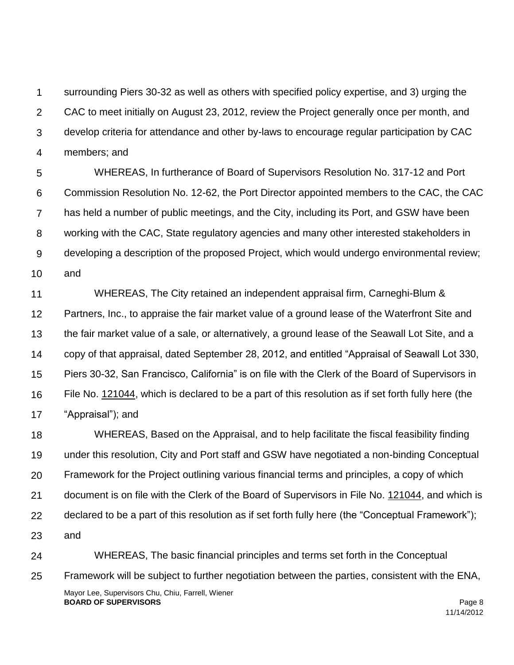1  $\mathcal{P}$ 3 4 surrounding Piers 30-32 as well as others with specified policy expertise, and 3) urging the CAC to meet initially on August 23, 2012, review the Project generally once per month, and develop criteria for attendance and other by-laws to encourage regular participation by CAC members; and

5 6 7 8 9 10 WHEREAS, In furtherance of Board of Supervisors Resolution No. 317-12 and Port Commission Resolution No. 12-62, the Port Director appointed members to the CAC, the CAC has held a number of public meetings, and the City, including its Port, and GSW have been working with the CAC, State regulatory agencies and many other interested stakeholders in developing a description of the proposed Project, which would undergo environmental review; and

11 12 13 14 15 16 17 WHEREAS, The City retained an independent appraisal firm, Carneghi-Blum & Partners, Inc., to appraise the fair market value of a ground lease of the Waterfront Site and the fair market value of a sale, or alternatively, a ground lease of the Seawall Lot Site, and a copy of that appraisal, dated September 28, 2012, and entitled "Appraisal of Seawall Lot 330, Piers 30-32, San Francisco, California" is on file with the Clerk of the Board of Supervisors in File No. 121044, which is declared to be a part of this resolution as if set forth fully here (the "Appraisal"); and

18 19 20 21 22 23 WHEREAS, Based on the Appraisal, and to help facilitate the fiscal feasibility finding under this resolution, City and Port staff and GSW have negotiated a non-binding Conceptual Framework for the Project outlining various financial terms and principles, a copy of which document is on file with the Clerk of the Board of Supervisors in File No. 121044, and which is declared to be a part of this resolution as if set forth fully here (the "Conceptual Framework"); and

Mayor Lee, Supervisors Chu, Chiu, Farrell, Wiener **BOARD OF SUPERVISORS** Page 8 11/14/2012 24 25 WHEREAS, The basic financial principles and terms set forth in the Conceptual Framework will be subject to further negotiation between the parties, consistent with the ENA,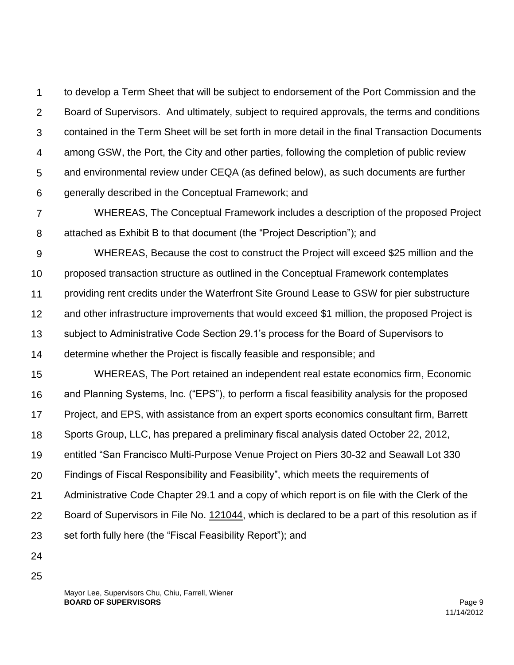1  $\mathcal{P}$ 3 4 5 6 to develop a Term Sheet that will be subject to endorsement of the Port Commission and the Board of Supervisors. And ultimately, subject to required approvals, the terms and conditions contained in the Term Sheet will be set forth in more detail in the final Transaction Documents among GSW, the Port, the City and other parties, following the completion of public review and environmental review under CEQA (as defined below), as such documents are further generally described in the Conceptual Framework; and

7 8 WHEREAS, The Conceptual Framework includes a description of the proposed Project attached as Exhibit B to that document (the "Project Description"); and

9 10 11 12 WHEREAS, Because the cost to construct the Project will exceed \$25 million and the proposed transaction structure as outlined in the Conceptual Framework contemplates providing rent credits under the Waterfront Site Ground Lease to GSW for pier substructure and other infrastructure improvements that would exceed \$1 million, the proposed Project is

13 subject to Administrative Code Section 29.1's process for the Board of Supervisors to

14 determine whether the Project is fiscally feasible and responsible; and

15 16 17 18 19 20 21 22 23 WHEREAS, The Port retained an independent real estate economics firm, Economic and Planning Systems, Inc. ("EPS"), to perform a fiscal feasibility analysis for the proposed Project, and EPS, with assistance from an expert sports economics consultant firm, Barrett Sports Group, LLC, has prepared a preliminary fiscal analysis dated October 22, 2012, entitled "San Francisco Multi-Purpose Venue Project on Piers 30-32 and Seawall Lot 330 Findings of Fiscal Responsibility and Feasibility", which meets the requirements of Administrative Code Chapter 29.1 and a copy of which report is on file with the Clerk of the Board of Supervisors in File No. 121044, which is declared to be a part of this resolution as if set forth fully here (the "Fiscal Feasibility Report"); and

- 24
- 25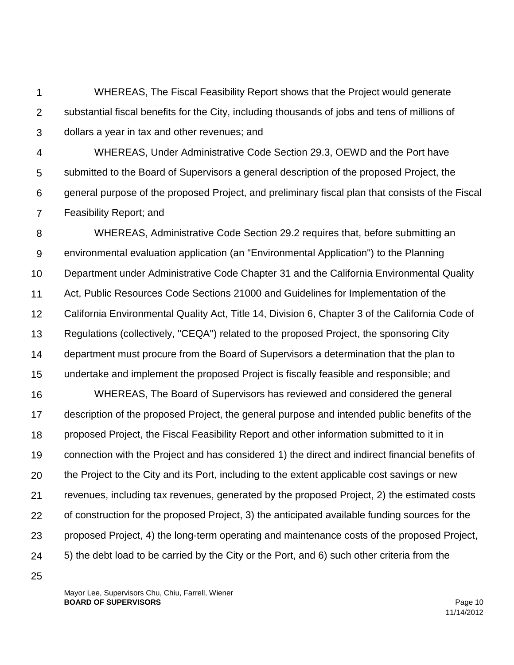1 2 3 WHEREAS, The Fiscal Feasibility Report shows that the Project would generate substantial fiscal benefits for the City, including thousands of jobs and tens of millions of dollars a year in tax and other revenues; and

4 5 6 7 WHEREAS, Under Administrative Code Section 29.3, OEWD and the Port have submitted to the Board of Supervisors a general description of the proposed Project, the general purpose of the proposed Project, and preliminary fiscal plan that consists of the Fiscal Feasibility Report; and

8 9 10 11 12 13 14 15 WHEREAS, Administrative Code Section 29.2 requires that, before submitting an environmental evaluation application (an "Environmental Application") to the Planning Department under Administrative Code Chapter 31 and the California Environmental Quality Act, Public Resources Code Sections 21000 and Guidelines for Implementation of the California Environmental Quality Act, Title 14, Division 6, Chapter 3 of the California Code of Regulations (collectively, "CEQA") related to the proposed Project, the sponsoring City department must procure from the Board of Supervisors a determination that the plan to undertake and implement the proposed Project is fiscally feasible and responsible; and

16 17 18 19 20 21 22 23 24 WHEREAS, The Board of Supervisors has reviewed and considered the general description of the proposed Project, the general purpose and intended public benefits of the proposed Project, the Fiscal Feasibility Report and other information submitted to it in connection with the Project and has considered 1) the direct and indirect financial benefits of the Project to the City and its Port, including to the extent applicable cost savings or new revenues, including tax revenues, generated by the proposed Project, 2) the estimated costs of construction for the proposed Project, 3) the anticipated available funding sources for the proposed Project, 4) the long-term operating and maintenance costs of the proposed Project, 5) the debt load to be carried by the City or the Port, and 6) such other criteria from the

25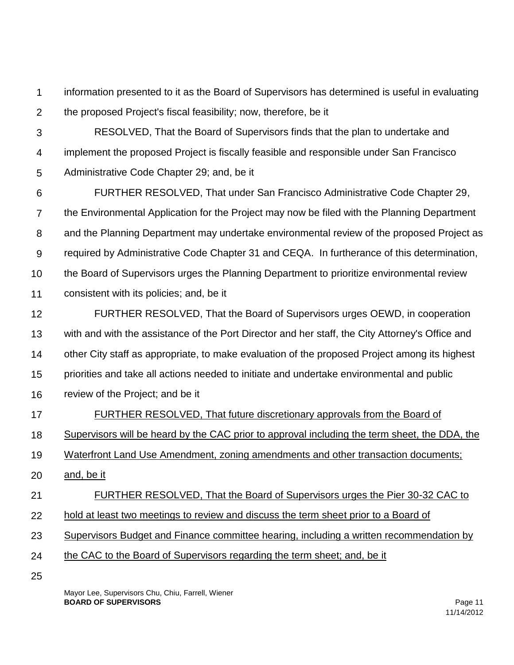1  $\mathcal{P}$ information presented to it as the Board of Supervisors has determined is useful in evaluating the proposed Project's fiscal feasibility; now, therefore, be it

- 3 4 RESOLVED, That the Board of Supervisors finds that the plan to undertake and implement the proposed Project is fiscally feasible and responsible under San Francisco
- 5 Administrative Code Chapter 29; and, be it

6 7 8 9 10 11 FURTHER RESOLVED, That under San Francisco Administrative Code Chapter 29, the Environmental Application for the Project may now be filed with the Planning Department and the Planning Department may undertake environmental review of the proposed Project as required by Administrative Code Chapter 31 and CEQA. In furtherance of this determination, the Board of Supervisors urges the Planning Department to prioritize environmental review consistent with its policies; and, be it

- 12 13 14 15 16 FURTHER RESOLVED, That the Board of Supervisors urges OEWD, in cooperation with and with the assistance of the Port Director and her staff, the City Attorney's Office and other City staff as appropriate, to make evaluation of the proposed Project among its highest priorities and take all actions needed to initiate and undertake environmental and public review of the Project; and be it
- 17 FURTHER RESOLVED, That future discretionary approvals from the Board of
- 18 Supervisors will be heard by the CAC prior to approval including the term sheet, the DDA, the

19 Waterfront Land Use Amendment, zoning amendments and other transaction documents;

20 and, be it

21 FURTHER RESOLVED, That the Board of Supervisors urges the Pier 30-32 CAC to

- 22 hold at least two meetings to review and discuss the term sheet prior to a Board of
- 23 Supervisors Budget and Finance committee hearing, including a written recommendation by
- 24 the CAC to the Board of Supervisors regarding the term sheet; and, be it
- 25